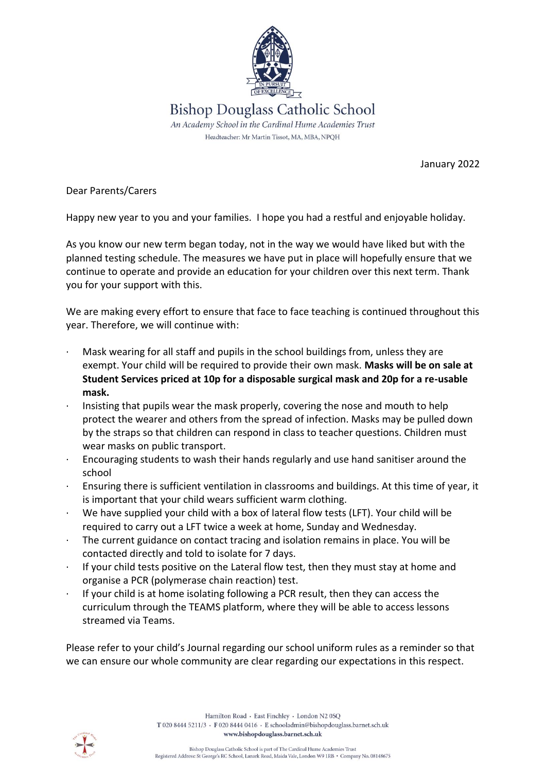

January 2022

Dear Parents/Carers

Happy new year to you and your families. I hope you had a restful and enjoyable holiday.

As you know our new term began today, not in the way we would have liked but with the planned testing schedule. The measures we have put in place will hopefully ensure that we continue to operate and provide an education for your children over this next term. Thank you for your support with this.

We are making every effort to ensure that face to face teaching is continued throughout this year. Therefore, we will continue with:

- Mask wearing for all staff and pupils in the school buildings from, unless they are exempt. Your child will be required to provide their own mask. **Masks will be on sale at Student Services priced at 10p for a disposable surgical mask and 20p for a re-usable mask.**
- Insisting that pupils wear the mask properly, covering the nose and mouth to help protect the wearer and others from the spread of infection. Masks may be pulled down by the straps so that children can respond in class to teacher questions. Children must wear masks on public transport.
- · Encouraging students to wash their hands regularly and use hand sanitiser around the school
- · Ensuring there is sufficient ventilation in classrooms and buildings. At this time of year, it is important that your child wears sufficient warm clothing.
- We have supplied your child with a box of lateral flow tests (LFT). Your child will be required to carry out a LFT twice a week at home, Sunday and Wednesday.
- The current guidance on contact tracing and isolation remains in place. You will be contacted directly and told to isolate for 7 days.
- · If your child tests positive on the Lateral flow test, then they must stay at home and organise a PCR (polymerase chain reaction) test.
- If your child is at home isolating following a PCR result, then they can access the curriculum through the TEAMS platform, where they will be able to access lessons streamed via Teams.

Please refer to your child's Journal regarding our school uniform rules as a reminder so that we can ensure our whole community are clear regarding our expectations in this respect.

> Hamilton Road · East Finchley · London N2 0SO T 020 8444 5211/3 · F 020 8444 0416 · E schooladmin@bishopdouglass.barnet.sch.uk www.bishopdouglass.barnet.sch.uk